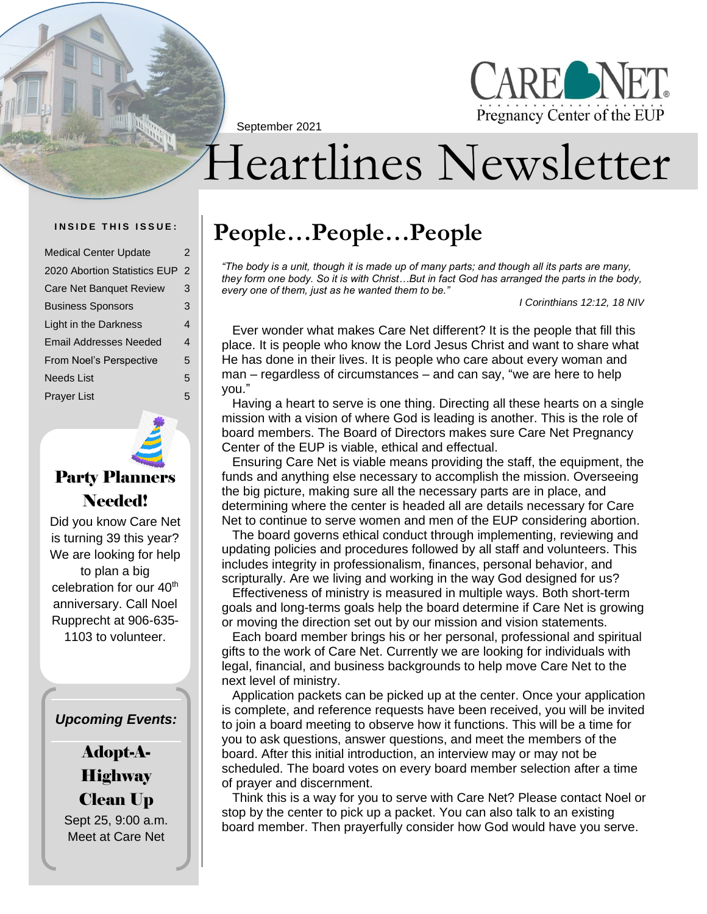September 2021



# Heartlines Newsletter

| <b>Medical Center Update</b>  | 2              |
|-------------------------------|----------------|
| 2020 Abortion Statistics EUP  | $\overline{2}$ |
| Care Net Banquet Review       | 3              |
| <b>Business Sponsors</b>      | 3              |
| Light in the Darkness         | 4              |
| <b>Email Addresses Needed</b> | 4              |
| From Noel's Perspective       | 5              |
| <b>Needs List</b>             | 5              |
| <b>Prayer List</b>            | 5              |



### Party Planners Needed!

Did you know Care Net is turning 39 this year? We are looking for help to plan a big celebration for our 40<sup>th</sup> anniversary. Call Noel Rupprecht at 906-635- 1103 to volunteer.

### *Upcoming Events:*

Adopt-A-**Highway** Clean Up Sept 25, 9:00 a.m.

Meet at Care Net

### INSIDE THIS ISSUE: People...People...People

*"The body is a unit, though it is made up of many parts; and though all its parts are many, they form one body. So it is with Christ…But in fact God has arranged the parts in the body, every one of them, just as he wanted them to be."*

*I Corinthians 12:12, 18 NIV*

Ever wonder what makes Care Net different? It is the people that fill this place. It is people who know the Lord Jesus Christ and want to share what He has done in their lives. It is people who care about every woman and man – regardless of circumstances – and can say, "we are here to help you."

Having a heart to serve is one thing. Directing all these hearts on a single mission with a vision of where God is leading is another. This is the role of board members. The Board of Directors makes sure Care Net Pregnancy Center of the EUP is viable, ethical and effectual.

Ensuring Care Net is viable means providing the staff, the equipment, the funds and anything else necessary to accomplish the mission. Overseeing the big picture, making sure all the necessary parts are in place, and determining where the center is headed all are details necessary for Care Net to continue to serve women and men of the EUP considering abortion.

The board governs ethical conduct through implementing, reviewing and updating policies and procedures followed by all staff and volunteers. This includes integrity in professionalism, finances, personal behavior, and scripturally. Are we living and working in the way God designed for us?

Effectiveness of ministry is measured in multiple ways. Both short-term goals and long-terms goals help the board determine if Care Net is growing or moving the direction set out by our mission and vision statements.

Each board member brings his or her personal, professional and spiritual gifts to the work of Care Net. Currently we are looking for individuals with legal, financial, and business backgrounds to help move Care Net to the next level of ministry.

Application packets can be picked up at the center. Once your application is complete, and reference requests have been received, you will be invited to join a board meeting to observe how it functions. This will be a time for you to ask questions, answer questions, and meet the members of the board. After this initial introduction, an interview may or may not be scheduled. The board votes on every board member selection after a time of prayer and discernment.

Think this is a way for you to serve with Care Net? Please contact Noel or stop by the center to pick up a packet. You can also talk to an existing board member. Then prayerfully consider how God would have you serve.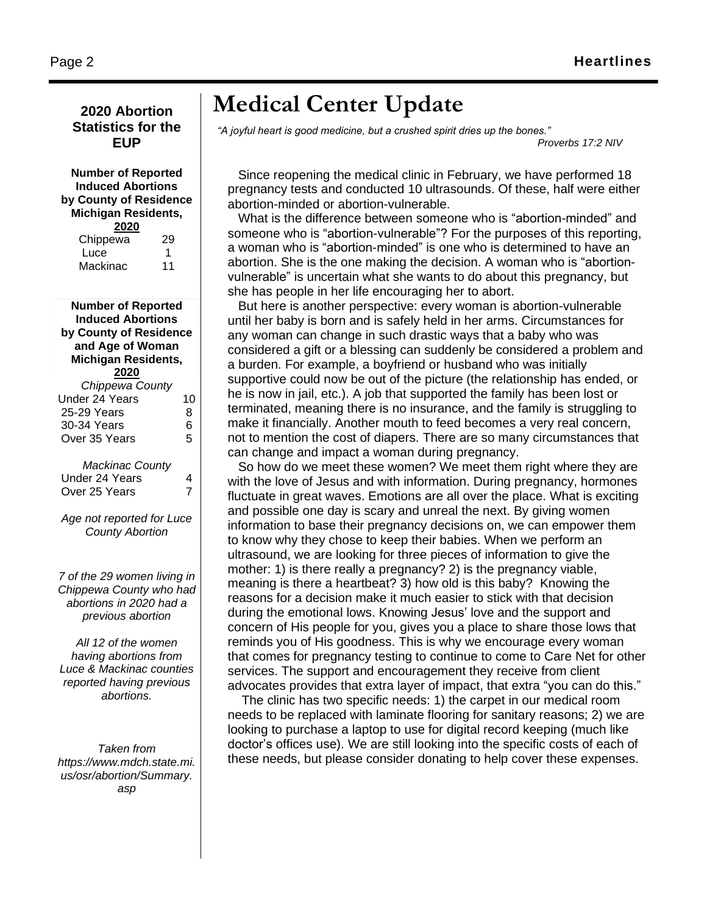### **2020 Abortion Statistics for the EUP**

#### **Number of Reported Induced Abortions by County of Residence Michigan Residents, 2020**

| 29 |
|----|
| 1  |
| 11 |
|    |

**Number of Reported Induced Abortions by County of Residence and Age of Woman Michigan Residents, 2020** *Chippewa County* Under 24 Years 10 25-29 Years 8 30-34 Years 6 Over 35 Years 5 *Mackinac County* Under 24 Years 4 Over 25 Years 7 *Age not reported for Luce* 

*County Abortion*

*7 of the 29 women living in Chippewa County who had abortions in 2020 had a previous abortion*

*All 12 of the women having abortions from Luce & Mackinac counties reported having previous abortions.*

*Taken from https://www.mdch.state.mi. us/osr/abortion/Summary. asp*

### **Medical Center Update**

*"A joyful heart is good medicine, but a crushed spirit dries up the bones." Proverbs 17:2 NIV* 

Since reopening the medical clinic in February, we have performed 18 pregnancy tests and conducted 10 ultrasounds. Of these, half were either abortion-minded or abortion-vulnerable.

What is the difference between someone who is "abortion-minded" and someone who is "abortion-vulnerable"? For the purposes of this reporting, a woman who is "abortion-minded" is one who is determined to have an abortion. She is the one making the decision. A woman who is "abortionvulnerable" is uncertain what she wants to do about this pregnancy, but she has people in her life encouraging her to abort.

But here is another perspective: every woman is abortion-vulnerable until her baby is born and is safely held in her arms. Circumstances for any woman can change in such drastic ways that a baby who was considered a gift or a blessing can suddenly be considered a problem and a burden. For example, a boyfriend or husband who was initially supportive could now be out of the picture (the relationship has ended, or he is now in jail, etc.). A job that supported the family has been lost or terminated, meaning there is no insurance, and the family is struggling to make it financially. Another mouth to feed becomes a very real concern, not to mention the cost of diapers. There are so many circumstances that can change and impact a woman during pregnancy.

So how do we meet these women? We meet them right where they are with the love of Jesus and with information. During pregnancy, hormones fluctuate in great waves. Emotions are all over the place. What is exciting and possible one day is scary and unreal the next. By giving women information to base their pregnancy decisions on, we can empower them to know why they chose to keep their babies. When we perform an ultrasound, we are looking for three pieces of information to give the mother: 1) is there really a pregnancy? 2) is the pregnancy viable, meaning is there a heartbeat? 3) how old is this baby? Knowing the reasons for a decision make it much easier to stick with that decision during the emotional lows. Knowing Jesus' love and the support and concern of His people for you, gives you a place to share those lows that reminds you of His goodness. This is why we encourage every woman that comes for pregnancy testing to continue to come to Care Net for other services. The support and encouragement they receive from client advocates provides that extra layer of impact, that extra "you can do this."

The clinic has two specific needs: 1) the carpet in our medical room needs to be replaced with laminate flooring for sanitary reasons; 2) we are looking to purchase a laptop to use for digital record keeping (much like doctor's offices use). We are still looking into the specific costs of each of these needs, but please consider donating to help cover these expenses.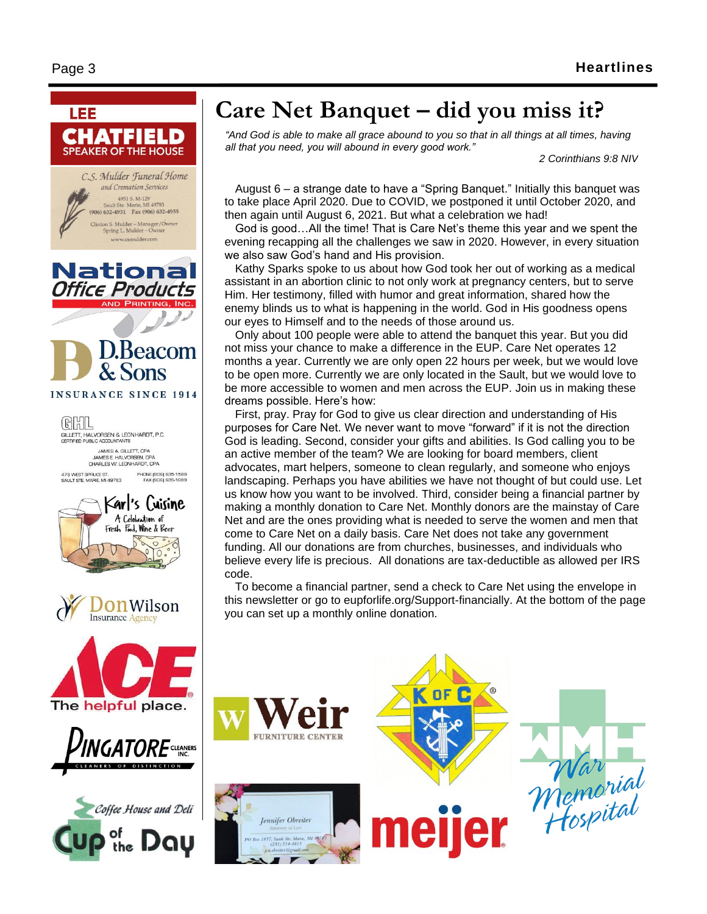

### **Care Net Banquet – did you miss it?**

*"And God is able to make all grace abound to you so that in all things at all times, having all that you need, you will abound in every good work."*

*2 Corinthians 9:8 NIV*

August 6 – a strange date to have a "Spring Banquet." Initially this banquet was to take place April 2020. Due to COVID, we postponed it until October 2020, and then again until August 6, 2021. But what a celebration we had!

God is good…All the time! That is Care Net's theme this year and we spent the evening recapping all the challenges we saw in 2020. However, in every situation we also saw God's hand and His provision.

Kathy Sparks spoke to us about how God took her out of working as a medical assistant in an abortion clinic to not only work at pregnancy centers, but to serve Him. Her testimony, filled with humor and great information, shared how the enemy blinds us to what is happening in the world. God in His goodness opens our eyes to Himself and to the needs of those around us.

Only about 100 people were able to attend the banquet this year. But you did not miss your chance to make a difference in the EUP. Care Net operates 12 months a year. Currently we are only open 22 hours per week, but we would love to be open more. Currently we are only located in the Sault, but we would love to be more accessible to women and men across the EUP. Join us in making these dreams possible. Here's how:

First, pray. Pray for God to give us clear direction and understanding of His purposes for Care Net. We never want to move "forward" if it is not the direction God is leading. Second, consider your gifts and abilities. Is God calling you to be an active member of the team? We are looking for board members, client advocates, mart helpers, someone to clean regularly, and someone who enjoys landscaping. Perhaps you have abilities we have not thought of but could use. Let us know how you want to be involved. Third, consider being a financial partner by making a monthly donation to Care Net. Monthly donors are the mainstay of Care Net and are the ones providing what is needed to serve the women and men that come to Care Net on a daily basis. Care Net does not take any government funding. All our donations are from churches, businesses, and individuals who believe every life is precious. All donations are tax-deductible as allowed per IRS code.

To become a financial partner, send a check to Care Net using the envelope in this newsletter or go to eupforlife.org/Support-financially. At the bottom of the page you can set up a monthly online donation.







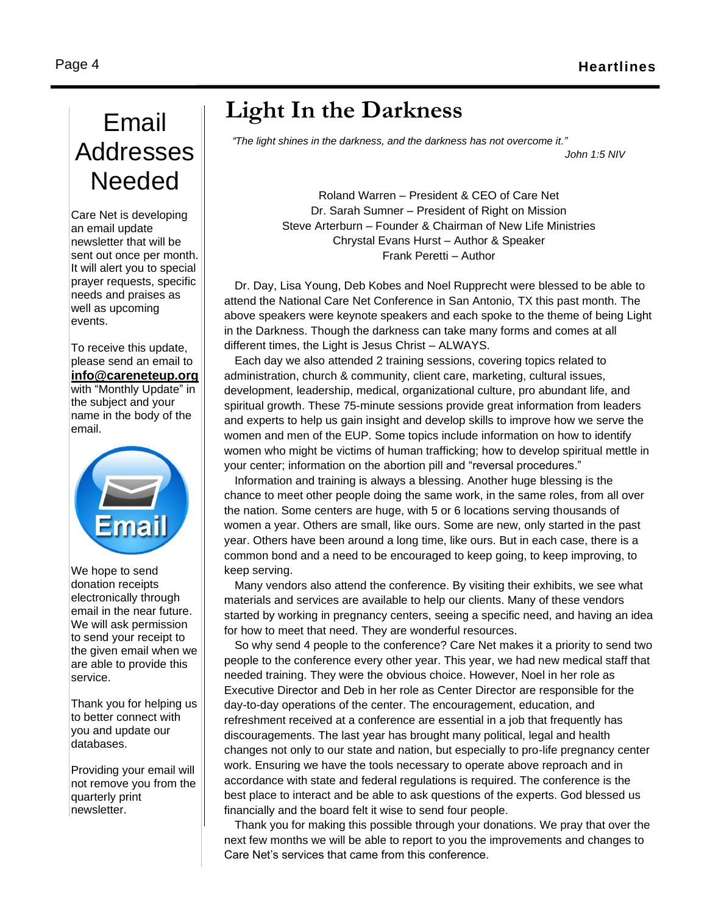## Email Addresses Needed

Care Net is developing an email update newsletter that will be sent out once per month. It will alert you to special prayer requests, specific needs and praises as well as upcoming events.

To receive this update, please send an email to **[info@careneteup.org](mailto:info@careneteup.org)** with "Monthly Update" in the subject and your name in the body of the email.



We hope to send donation receipts electronically through email in the near future. We will ask permission to send your receipt to the given email when we are able to provide this service.

Thank you for helping us to better connect with you and update our databases.

Providing your email will not remove you from the quarterly print newsletter.

### **Light In the Darkness**

*"The light shines in the darkness, and the darkness has not overcome it." John 1:5 NIV*

> Roland Warren – President & CEO of Care Net Dr. Sarah Sumner – President of Right on Mission Steve Arterburn – Founder & Chairman of New Life Ministries Chrystal Evans Hurst – Author & Speaker Frank Peretti – Author

Dr. Day, Lisa Young, Deb Kobes and Noel Rupprecht were blessed to be able to attend the National Care Net Conference in San Antonio, TX this past month. The above speakers were keynote speakers and each spoke to the theme of being Light in the Darkness. Though the darkness can take many forms and comes at all different times, the Light is Jesus Christ – ALWAYS.

Each day we also attended 2 training sessions, covering topics related to administration, church & community, client care, marketing, cultural issues, development, leadership, medical, organizational culture, pro abundant life, and spiritual growth. These 75-minute sessions provide great information from leaders and experts to help us gain insight and develop skills to improve how we serve the women and men of the EUP. Some topics include information on how to identify women who might be victims of human trafficking; how to develop spiritual mettle in your center; information on the abortion pill and "reversal procedures."

Information and training is always a blessing. Another huge blessing is the chance to meet other people doing the same work, in the same roles, from all over the nation. Some centers are huge, with 5 or 6 locations serving thousands of women a year. Others are small, like ours. Some are new, only started in the past year. Others have been around a long time, like ours. But in each case, there is a common bond and a need to be encouraged to keep going, to keep improving, to keep serving.

Many vendors also attend the conference. By visiting their exhibits, we see what materials and services are available to help our clients. Many of these vendors started by working in pregnancy centers, seeing a specific need, and having an idea for how to meet that need. They are wonderful resources.

So why send 4 people to the conference? Care Net makes it a priority to send two people to the conference every other year. This year, we had new medical staff that needed training. They were the obvious choice. However, Noel in her role as Executive Director and Deb in her role as Center Director are responsible for the day-to-day operations of the center. The encouragement, education, and refreshment received at a conference are essential in a job that frequently has discouragements. The last year has brought many political, legal and health changes not only to our state and nation, but especially to pro-life pregnancy center work. Ensuring we have the tools necessary to operate above reproach and in accordance with state and federal regulations is required. The conference is the best place to interact and be able to ask questions of the experts. God blessed us financially and the board felt it wise to send four people.

Thank you for making this possible through your donations. We pray that over the next few months we will be able to report to you the improvements and changes to Care Net's services that came from this conference.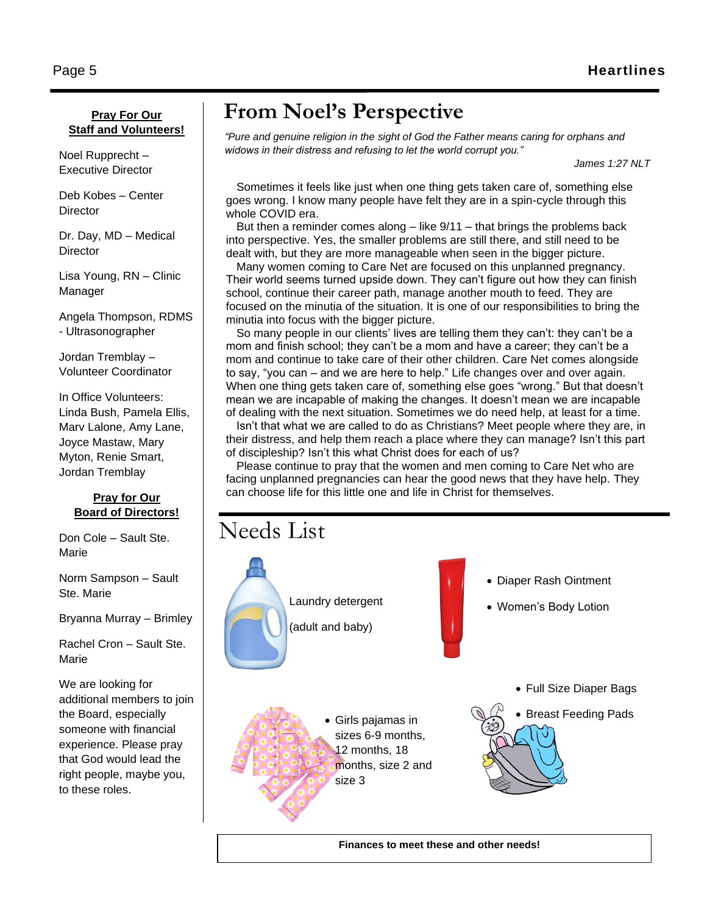#### **Pray For Our Staff and Volunteers!**

Noel Rupprecht – Executive Director

Deb Kobes – Center **Director** 

Dr. Day, MD – Medical **Director** 

Lisa Young, RN – Clinic Manager

Angela Thompson, RDMS - Ultrasonographer

Jordan Tremblay – Volunteer Coordinator

In Office Volunteers: Linda Bush, Pamela Ellis, Marv Lalone, Amy Lane, Joyce Mastaw, Mary Myton, Renie Smart, Jordan Tremblay

#### **Pray for Our Board of Directors!**

Don Cole – Sault Ste. Marie

Norm Sampson – Sault Ste. Marie

Bryanna Murray – Brimley

Rachel Cron – Sault Ste. Marie

We are looking for additional members to join the Board, especially someone with financial experience. Please pray that God would lead the right people, maybe you, to these roles.

### **From Noel's Perspective**

*"Pure and genuine religion in the sight of God the Father means caring for orphans and widows in their distress and refusing to let the world corrupt you."*

*James 1:27 NLT*

Sometimes it feels like just when one thing gets taken care of, something else goes wrong. I know many people have felt they are in a spin-cycle through this whole COVID era.

But then a reminder comes along – like 9/11 – that brings the problems back into perspective. Yes, the smaller problems are still there, and still need to be dealt with, but they are more manageable when seen in the bigger picture.

Many women coming to Care Net are focused on this unplanned pregnancy. Their world seems turned upside down. They can't figure out how they can finish school, continue their career path, manage another mouth to feed. They are focused on the minutia of the situation. It is one of our responsibilities to bring the minutia into focus with the bigger picture.

So many people in our clients' lives are telling them they can't: they can't be a mom and finish school; they can't be a mom and have a career; they can't be a mom and continue to take care of their other children. Care Net comes alongside to say, "you can – and we are here to help." Life changes over and over again. When one thing gets taken care of, something else goes "wrong." But that doesn't mean we are incapable of making the changes. It doesn't mean we are incapable of dealing with the next situation. Sometimes we do need help, at least for a time.

Isn't that what we are called to do as Christians? Meet people where they are, in their distress, and help them reach a place where they can manage? Isn't this part of discipleship? Isn't this what Christ does for each of us?

Please continue to pray that the women and men coming to Care Net who are facing unplanned pregnancies can hear the good news that they have help. They can choose life for this little one and life in Christ for themselves.